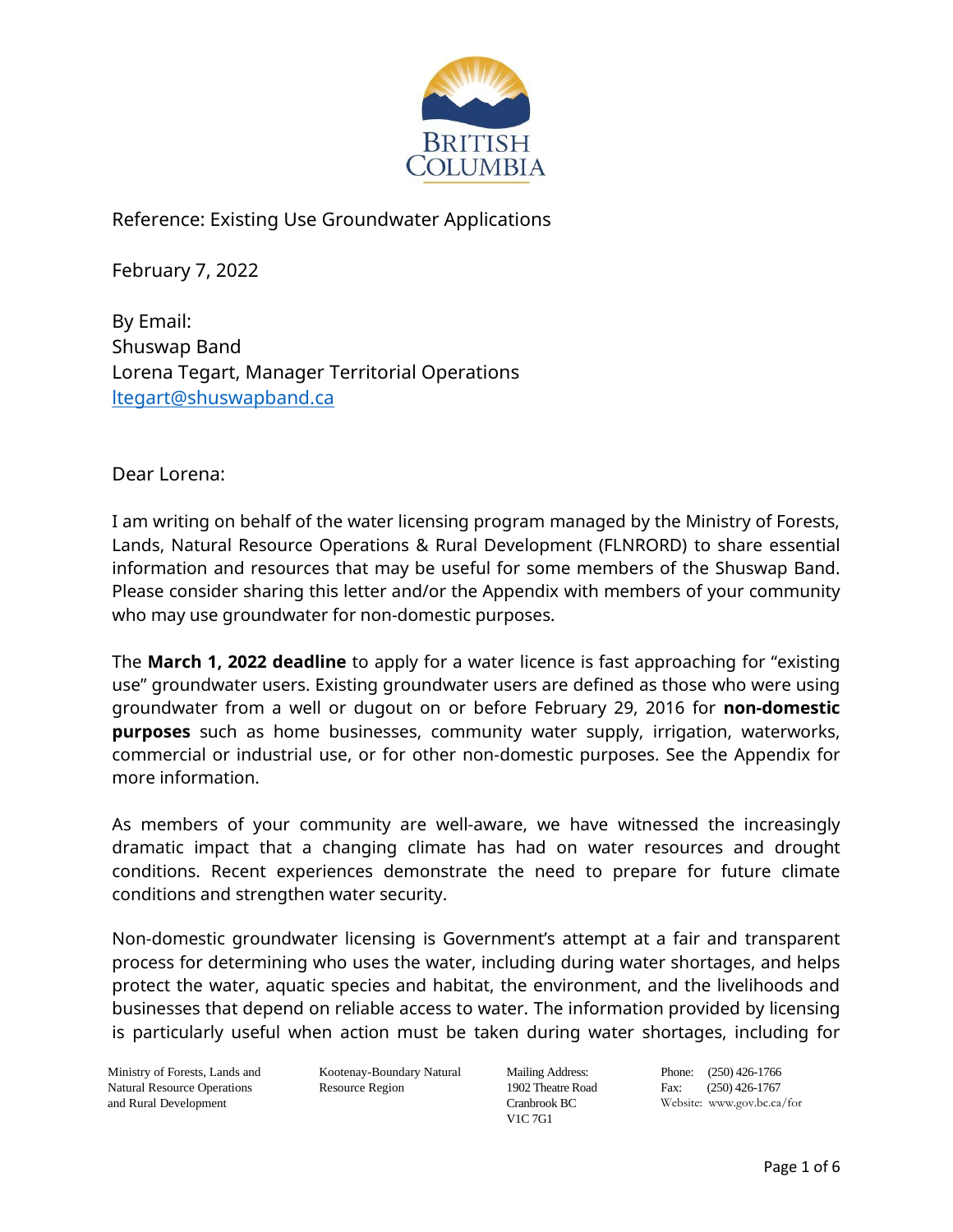

Reference: Existing Use Groundwater Applications

February 7, 2022

By Email: Shuswap Band Lorena Tegart, Manager Territorial Operations [ltegart@shuswapband.ca](mailto:ltegart@shuswapband.ca)

#### Dear Lorena:

I am writing on behalf of the water licensing program managed by the Ministry of Forests, Lands, Natural Resource Operations & Rural Development (FLNRORD) to share essential information and resources that may be useful for some members of the Shuswap Band. Please consider sharing this letter and/or the Appendix with members of your community who may use groundwater for non-domestic purposes.

The **March 1, 2022 deadline** to apply for a water licence is fast approaching for "existing use" groundwater users. Existing groundwater users are defined as those who were using groundwater from a well or dugout on or before February 29, 2016 for **non-domestic purposes** such as home businesses, community water supply, irrigation, waterworks, commercial or industrial use, or for other non-domestic purposes. See the Appendix for more information.

As members of your community are well-aware, we have witnessed the increasingly dramatic impact that a changing climate has had on water resources and drought conditions. Recent experiences demonstrate the need to prepare for future climate conditions and strengthen water security.

Non-domestic groundwater licensing is Government's attempt at a fair and transparent process for determining who uses the water, including during water shortages, and helps protect the water, aquatic species and habitat, the environment, and the livelihoods and businesses that depend on reliable access to water. The information provided by licensing is particularly useful when action must be taken during water shortages, including for

Ministry of Forests, Lands and Natural Resource Operations and Rural Development

Kootenay-Boundary Natural Resource Region

Mailing Address: 1902 Theatre Road Cranbrook BC V1C 7G1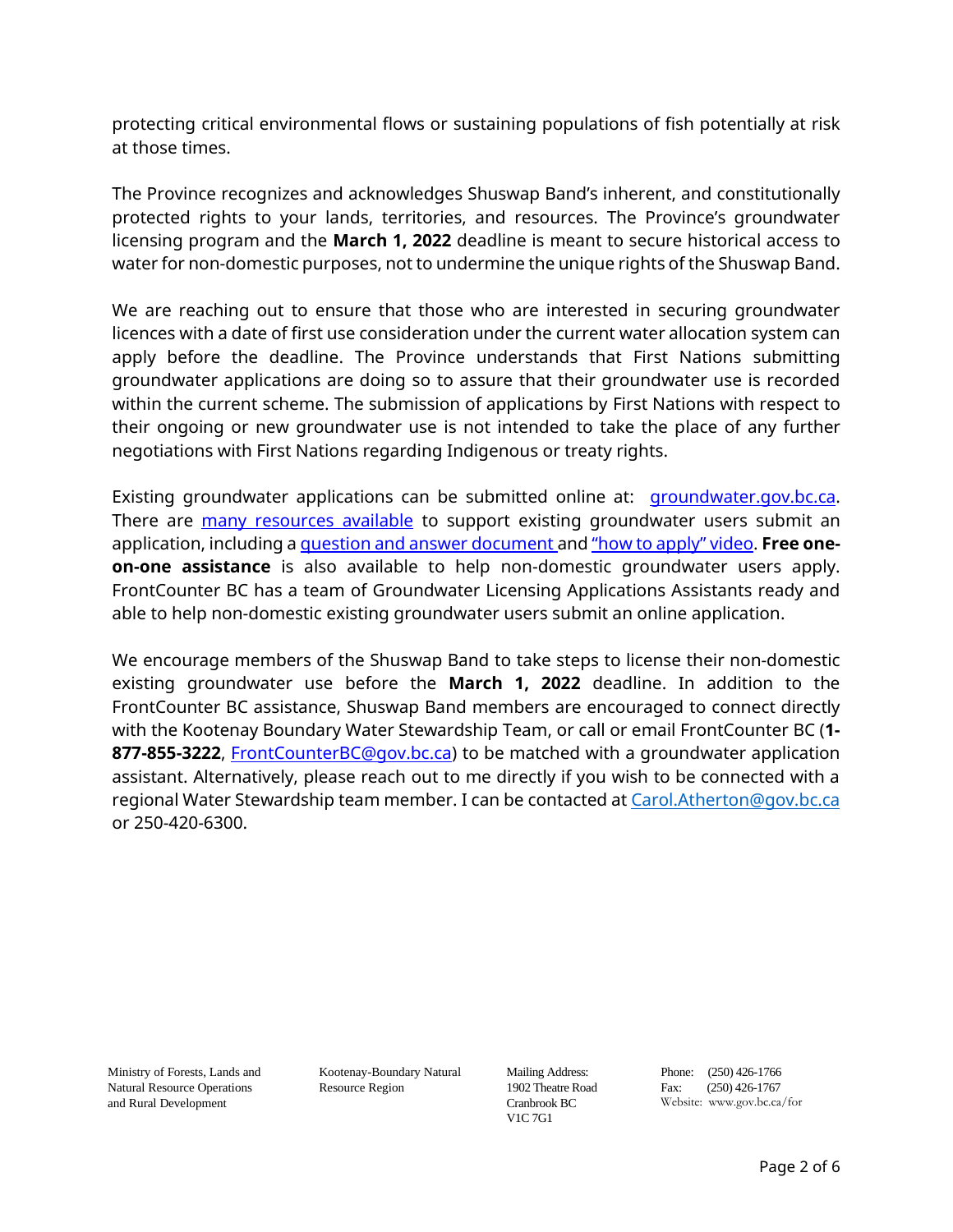protecting critical environmental flows or sustaining populations of fish potentially at risk at those times.

The Province recognizes and acknowledges Shuswap Band's inherent, and constitutionally protected rights to your lands, territories, and resources. The Province's groundwater licensing program and the **March 1, 2022** deadline is meant to secure historical access to water for non-domestic purposes, not to undermine the unique rights of the Shuswap Band.

We are reaching out to ensure that those who are interested in securing groundwater licences with a date of first use consideration under the current water allocation system can apply before the deadline. The Province understands that First Nations submitting groundwater applications are doing so to assure that their groundwater use is recorded within the current scheme. The submission of applications by First Nations with respect to their ongoing or new groundwater use is not intended to take the place of any further negotiations with First Nations regarding Indigenous or treaty rights.

Existing groundwater applications can be submitted online at: [groundwater.gov.bc.ca.](https://portal.nrs.gov.bc.ca/web/client/-/secure-your-water-rights-today) There are [many resources available](https://www2.gov.bc.ca/gov/content/environment/air-land-water/water/water-licensing-rights/water-licences-approvals/new-requirements-for-groundwater-users) to support existing groundwater users submit an application, including a [question and answer document](https://www2.gov.bc.ca/assets/gov/environment/air-land-water/water/gwlicensingqas-2020.pdf) and ["how to apply" video](https://youtu.be/zoYMs5OZMHc). **Free oneon-one assistance** is also available to help non-domestic groundwater users apply. FrontCounter BC has a team of Groundwater Licensing Applications Assistants ready and able to help non-domestic existing groundwater users submit an online application.

We encourage members of the Shuswap Band to take steps to license their non-domestic existing groundwater use before the **March 1, 2022** deadline. In addition to the FrontCounter BC assistance, Shuswap Band members are encouraged to connect directly with the Kootenay Boundary Water Stewardship Team, or call or email FrontCounter BC (**1- 877-855-3222**, [FrontCounterBC@gov.bc.ca\)](mailto:FrontCounterBC@gov.bc.ca) to be matched with a groundwater application assistant. Alternatively, please reach out to me directly if you wish to be connected with a regional Water Stewardship team member. I can be contacted a[t Carol.Atherton@gov.bc.ca](mailto:Carol.Atherton@gov.bc.ca) or 250-420-6300.

Ministry of Forests, Lands and Natural Resource Operations and Rural Development

Kootenay-Boundary Natural Resource Region

Mailing Address: 1902 Theatre Road Cranbrook BC V1C 7G1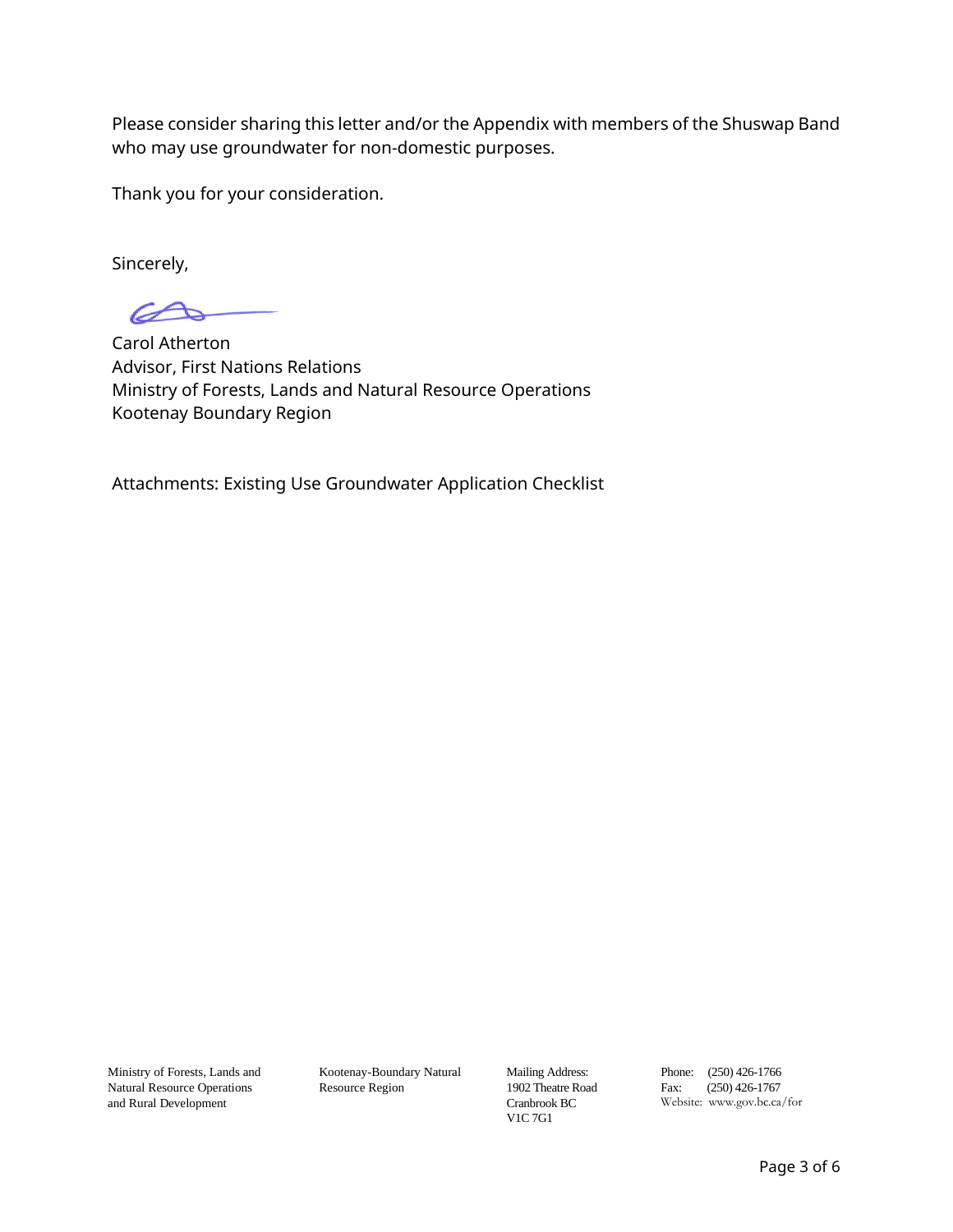Please consider sharing this letter and/or the Appendix with members of the Shuswap Band who may use groundwater for non-domestic purposes.

Thank you for your consideration.

Sincerely,

Carol Atherton Advisor, First Nations Relations Ministry of Forests, Lands and Natural Resource Operations Kootenay Boundary Region

Attachments: Existing Use Groundwater Application Checklist

Ministry of Forests, Lands and Natural Resource Operations and Rural Development

Kootenay-Boundary Natural Resource Region

Mailing Address:  $1902$  Theatre Road Cranbrook BC V1C 7G1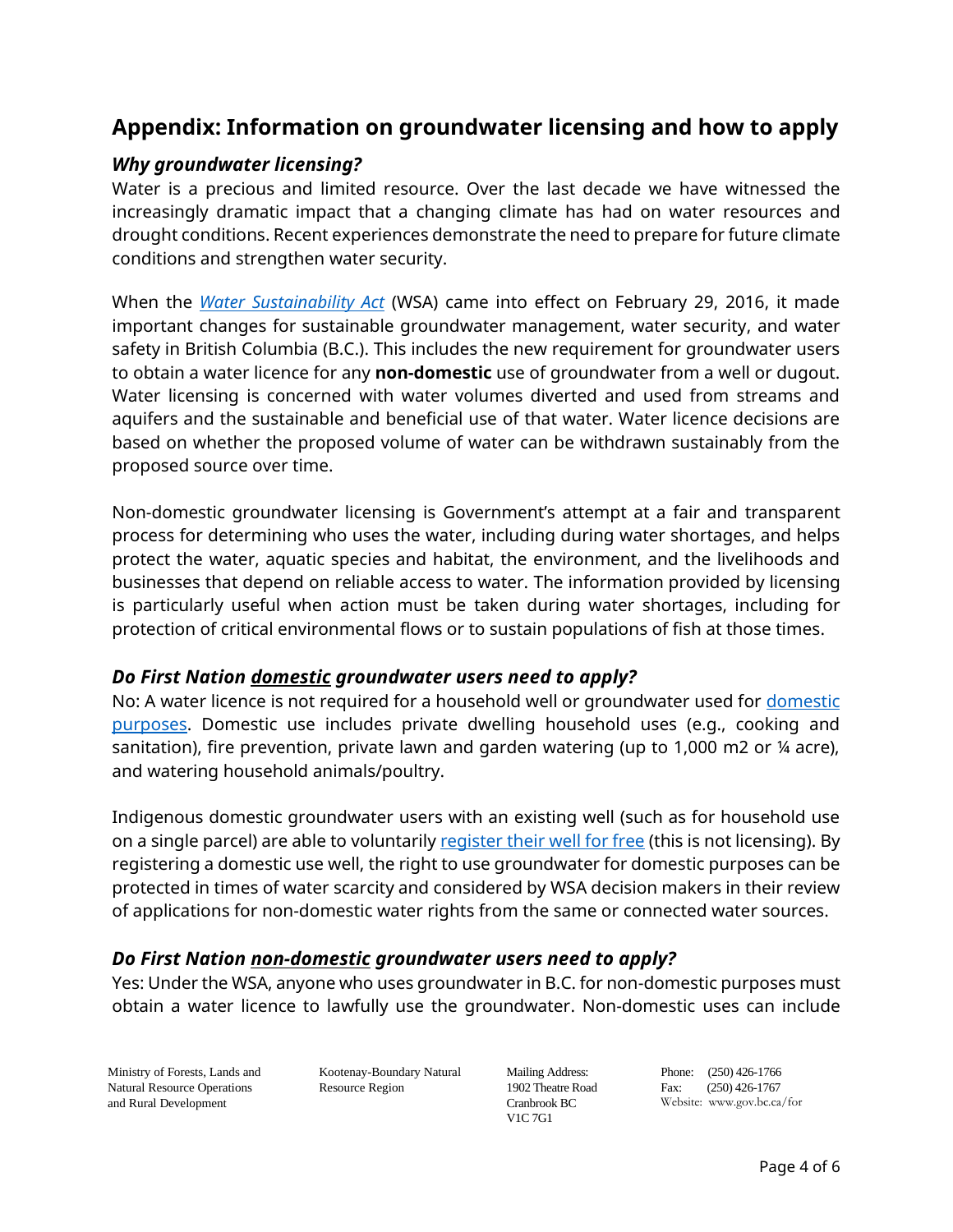# **Appendix: Information on groundwater licensing and how to apply**

### *Why groundwater licensing?*

Water is a precious and limited resource. Over the last decade we have witnessed the increasingly dramatic impact that a changing climate has had on water resources and drought conditions. Recent experiences demonstrate the need to prepare for future climate conditions and strengthen water security.

When the *[Water Sustainability Act](https://www.bclaws.gov.bc.ca/civix/document/id/complete/statreg/14015#section2)* (WSA) came into effect on February 29, 2016, it made important changes for sustainable groundwater management, water security, and water safety in British Columbia (B.C.). This includes the new requirement for groundwater users to obtain a water licence for any **non-domestic** use of groundwater from a well or dugout. Water licensing is concerned with water volumes diverted and used from streams and aquifers and the sustainable and beneficial use of that water. Water licence decisions are based on whether the proposed volume of water can be withdrawn sustainably from the proposed source over time.

Non-domestic groundwater licensing is Government's attempt at a fair and transparent process for determining who uses the water, including during water shortages, and helps protect the water, aquatic species and habitat, the environment, and the livelihoods and businesses that depend on reliable access to water. The information provided by licensing is particularly useful when action must be taken during water shortages, including for protection of critical environmental flows or to sustain populations of fish at those times.

#### *Do First Nation domestic groundwater users need to apply?*

No: A water licence is not required for a household well or groundwater used for domestic [purposes.](https://portal.nrs.gov.bc.ca/web/client/-/domestic-use-of-water) Domestic use includes private dwelling household uses (e.g., cooking and sanitation), fire prevention, private lawn and garden watering (up to 1,000 m2 or ¼ acre), and watering household animals/poultry.

Indigenous domestic groundwater users with an existing well (such as for household use on a single parcel) are able to voluntaril[y register their well for free](https://www2.gov.bc.ca/gov/content/environment/air-land-water/water/groundwater-wells-aquifers/groundwater-wells/well-records-registration) (this is not licensing). By registering a domestic use well, the right to use groundwater for domestic purposes can be protected in times of water scarcity and considered by WSA decision makers in their review of applications for non-domestic water rights from the same or connected water sources.

# *Do First Nation non-domestic groundwater users need to apply?*

Yes: Under the WSA, anyone who uses groundwater in B.C. for non-domestic purposes must obtain a water licence to lawfully use the groundwater. Non-domestic uses can include

Ministry of Forests, Lands and Natural Resource Operations and Rural Development

Kootenay-Boundary Natural Resource Region

Mailing Address: 1902 Theatre Road Cranbrook BC V1C 7G1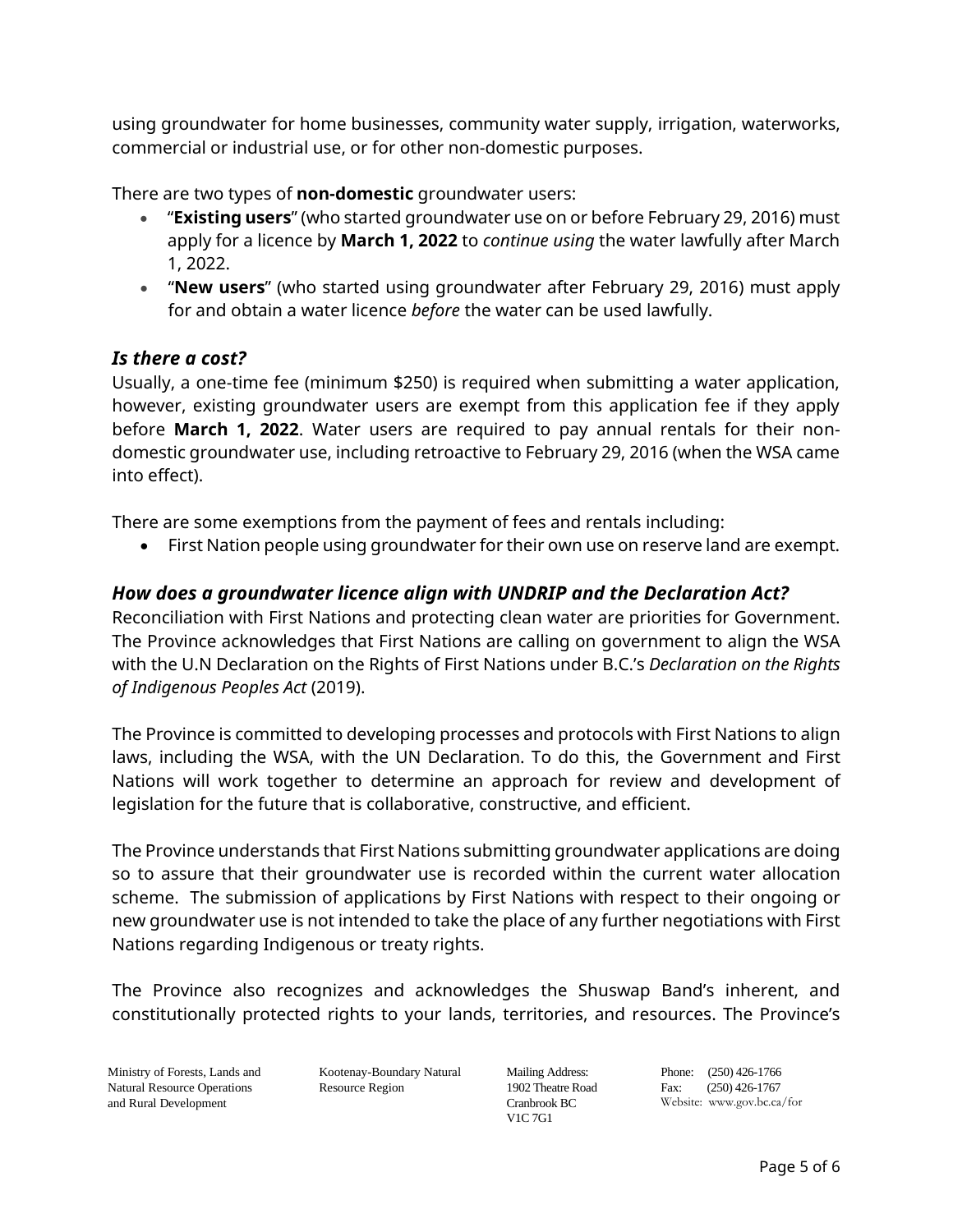using groundwater for home businesses, community water supply, irrigation, waterworks, commercial or industrial use, or for other non-domestic purposes.

There are two types of **non-domestic** groundwater users:

- "**Existing users**" (who started groundwater use on or before February 29, 2016) must apply for a licence by **March 1, 2022** to *continue using* the water lawfully after March 1, 2022.
- "**New users**" (who started using groundwater after February 29, 2016) must apply for and obtain a water licence *before* the water can be used lawfully.

#### *Is there a cost?*

Usually, a one-time fee (minimum \$250) is required when submitting a water application, however, existing groundwater users are exempt from this application fee if they apply before **March 1, 2022**. Water users are required to pay annual rentals for their nondomestic groundwater use, including retroactive to February 29, 2016 (when the WSA came into effect).

There are some exemptions from the payment of fees and rentals including:

• First Nation people using groundwater for their own use on reserve land are exempt.

## *How does a groundwater licence align with UNDRIP and the Declaration Act?*

Reconciliation with First Nations and protecting clean water are priorities for Government. The Province acknowledges that First Nations are calling on government to align the WSA with the U.N Declaration on the Rights of First Nations under B.C.'s *Declaration on the Rights of Indigenous Peoples Act* (2019).

The Province is committed to developing processes and protocols with First Nations to align laws, including the WSA, with the UN Declaration. To do this, the Government and First Nations will work together to determine an approach for review and development of legislation for the future that is collaborative, constructive, and efficient.

The Province understands that First Nations submitting groundwater applications are doing so to assure that their groundwater use is recorded within the current water allocation scheme. The submission of applications by First Nations with respect to their ongoing or new groundwater use is not intended to take the place of any further negotiations with First Nations regarding Indigenous or treaty rights.

The Province also recognizes and acknowledges the Shuswap Band's inherent, and constitutionally protected rights to your lands, territories, and resources. The Province's

Ministry of Forests, Lands and Natural Resource Operations and Rural Development

Kootenay-Boundary Natural Resource Region

Mailing Address: 1902 Theatre Road Cranbrook BC V1C 7G1